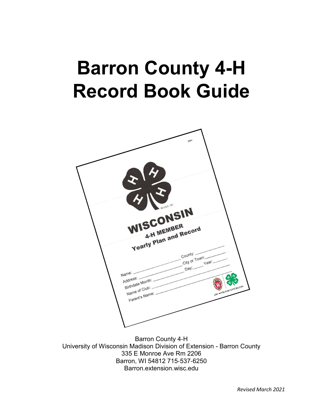# **Barron County 4-H Record Book Guide**



Barron County 4‐H University of Wisconsin Madison Division of Extension - Barron County 335 E Monroe Ave Rm 2206 Barron, WI 54812 715‐537‐6250 Barron.extension.wisc.edu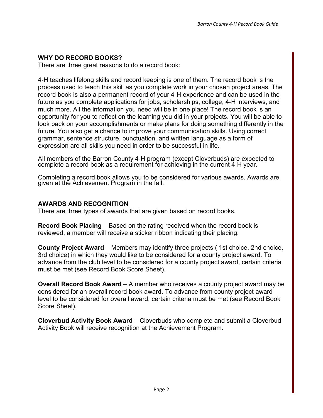## **WHY DO RECORD BOOKS?**

There are three great reasons to do a record book:

4‐H teaches lifelong skills and record keeping is one of them. The record book is the process used to teach this skill as you complete work in your chosen project areas. The record book is also a permanent record of your 4‐H experience and can be used in the future as you complete applications for jobs, scholarships, college, 4‐H interviews, and much more. All the information you need will be in one place! The record book is an opportunity for you to reflect on the learning you did in your projects. You will be able to look back on your accomplishments or make plans for doing something differently in the future. You also get a chance to improve your communication skills. Using correct grammar, sentence structure, punctuation, and written language as a form of expression are all skills you need in order to be successful in life.

All members of the Barron County 4‐H program (except Cloverbuds) are expected to complete a record book as a requirement for achieving in the current 4‐H year.

Completing a record book allows you to be considered for various awards. Awards are given at the Achievement Program in the fall.

#### **AWARDS AND RECOGNITION**

There are three types of awards that are given based on record books.

**Record Book Placing** – Based on the rating received when the record book is reviewed, a member will receive a sticker ribbon indicating their placing.

**County Project Award** – Members may identify three projects ( 1st choice, 2nd choice, 3rd choice) in which they would like to be considered for a county project award. To advance from the club level to be considered for a county project award, certain criteria must be met (see Record Book Score Sheet).

**Overall Record Book Award** – A member who receives a county project award may be considered for an overall record book award. To advance from county project award level to be considered for overall award, certain criteria must be met (see Record Book Score Sheet).

**Cloverbud Activity Book Award** – Cloverbuds who complete and submit a Cloverbud Activity Book will receive recognition at the Achievement Program.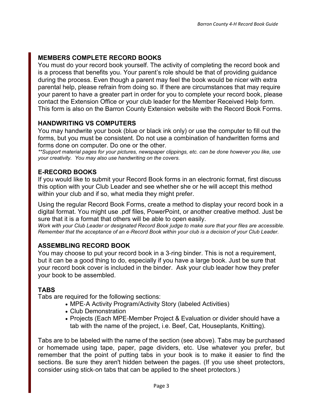# **MEMBERS COMPLETE RECORD BOOKS**

You must do your record book yourself. The activity of completing the record book and is a process that benefits you. Your parent's role should be that of providing guidance during the process. Even though a parent may feel the book would be nicer with extra parental help, please refrain from doing so. If there are circumstances that may require your parent to have a greater part in order for you to complete your record book, please contact the Extension Office or your club leader for the Member Received Help form. This form is also on the Barron County Extension website with the Record Book Forms.

## **HANDWRITING VS COMPUTERS**

You may handwrite your book (blue or black ink only) or use the computer to fill out the forms, but you must be consistent. Do not use a combination of handwritten forms and forms done on computer. Do one or the other.

*\*\*Support material pages for your pictures, newspaper clippings, etc. can be done however you like, use your creativity. You may also use handwriting on the covers.*

# **E-RECORD BOOKS**

If you would like to submit your Record Book forms in an electronic format, first discuss this option with your Club Leader and see whether she or he will accept this method within your club and if so, what media they might prefer.

Using the regular Record Book Forms, create a method to display your record book in a digital format. You might use .pdf files, PowerPoint, or another creative method. Just be sure that it is a format that others will be able to open easily.

*Work with your Club Leader or designated Record Book judge to make sure that your files are accessible. Remember that the acceptance of an e*‐*Record Book within your club is a decision of your Club Leader.*

# **ASSEMBLING RECORD BOOK**

You may choose to put your record book in a 3‐ring binder. This is not a requirement, but it can be a good thing to do, especially if you have a large book. Just be sure that your record book cover is included in the binder. Ask your club leader how they prefer your book to be assembled.

## **TABS**

Tabs are required for the following sections:

- MPE-A Activity Program/Activity Story (labeled Activities)
- Club Demonstration
- Projects (Each MPE‐Member Project & Evaluation or divider should have a tab with the name of the project, i.e. Beef, Cat, Houseplants, Knitting).

Tabs are to be labeled with the name of the section (see above). Tabs may be purchased or homemade using tape, paper, page dividers, etc. Use whatever you prefer, but remember that the point of putting tabs in your book is to make it easier to find the sections. Be sure they aren't hidden between the pages. (If you use sheet protectors, consider using stick‐on tabs that can be applied to the sheet protectors.)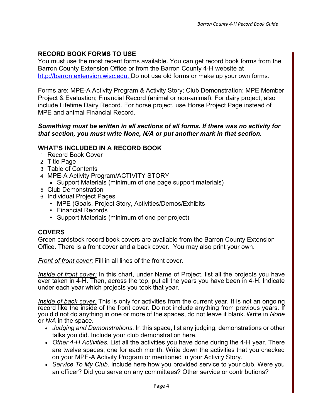## **RECORD BOOK FORMS TO USE**

You must use the most recent forms available. You can get record book forms from the Barron County Extension Office or from the Barron County 4‐H website at http://barron.extension.wisc.edu. Do not use old forms or make up your own forms.

Forms are: MPE‐A Activity Program & Activity Story; Club Demonstration; MPE Member Project & Evaluation; Financial Record (animal or non‐animal). For dairy project, also include Lifetime Dairy Record. For horse project, use Horse Project Page instead of MPE and animal Financial Record.

#### *Something must be written in all sections of all forms. If there was no activity for that section, you must write None, N/A or put another mark in that section.*

## **WHAT'S INCLUDED IN A RECORD BOOK**

- 1. Record Book Cover
- 2. Title Page
- 3. Table of Contents
- 4. MPE‐A Activity Program/ACTIVITY STORY
	- Support Materials (minimum of one page support materials)
- 5. Club Demonstration
- 6. Individual Project Pages
	- MPE (Goals, Project Story, Activities/Demos/Exhibits
	- Financial Records
	- Support Materials (minimum of one per project)

## **COVERS**

Green cardstock record book covers are available from the Barron County Extension Office. There is a front cover and a back cover. You may also print your own.

*Front of front cover:* Fill in all lines of the front cover.

*Inside of front cover:* In this chart, under Name of Project, list all the projects you have ever taken in 4‐H. Then, across the top, put all the years you have been in 4‐H. Indicate under each year which projects you took that year.

*Inside of back cover:* This is only for activities from the current year. It is not an ongoing record like the inside of the front cover. Do not include anything from previous years. If you did not do anything in one or more of the spaces, do not leave it blank. Write in *None*  or *N/A* in the space.

- *Judging and Demonstrations*. In this space, list any judging, demonstrations or other talks you did. Include your club demonstration here.
- *Other 4*‐*H Activities*. List all the activities you have done during the 4‐H year. There are twelve spaces, one for each month. Write down the activities that you checked on your MPE‐A Activity Program or mentioned in your Activity Story.
- *Service To My Club*. Include here how you provided service to your club. Were you an officer? Did you serve on any committees? Other service or contributions?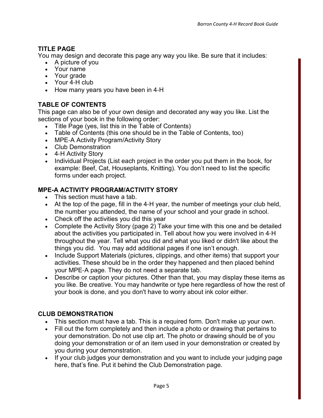## **TITLE PAGE**

You may design and decorate this page any way you like. Be sure that it includes:

- A picture of you
- Your name
- Your grade
- Your 4-H club
- How many years you have been in 4-H

## **TABLE OF CONTENTS**

This page can also be of your own design and decorated any way you like. List the sections of your book in the following order:

- Title Page (yes, list this in the Table of Contents)
- Table of Contents (this one should be in the Table of Contents, too)
- MPE-A Activity Program/Activity Story
- Club Demonstration
- 4-H Activity Story
- Individual Projects (List each project in the order you put them in the book, for example: Beef, Cat, Houseplants, Knitting). You don't need to list the specific forms under each project.

## **MPE-A ACTIVITY PROGRAM/ACTIVITY STORY**

- This section must have a tab.
- At the top of the page, fill in the 4-H year, the number of meetings your club held, the number you attended, the name of your school and your grade in school.
- Check off the activities you did this year
- Complete the Activity Story (page 2) Take your time with this one and be detailed about the activities you participated in. Tell about how you were involved in 4‐H throughout the year. Tell what you did and what you liked or didn't like about the things you did. You may add additional pages if one isn't enough.
- Include Support Materials (pictures, clippings, and other items) that support your activities. These should be in the order they happened and then placed behind your MPE‐A page. They do not need a separate tab.
- Describe or caption your pictures. Other than that, you may display these items as you like. Be creative. You may handwrite or type here regardless of how the rest of your book is done, and you don't have to worry about ink color either.

## **CLUB DEMONSTRATION**

- This section must have a tab. This is a required form. Don't make up your own.
- Fill out the form completely and then include a photo or drawing that pertains to your demonstration. Do not use clip art. The photo or drawing should be of you doing your demonstration or of an item used in your demonstration or created by you during your demonstration.
- If your club judges your demonstration and you want to include your judging page here, that's fine. Put it behind the Club Demonstration page.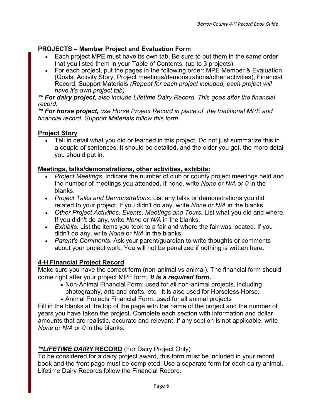## **PROJECTS – Member Project and Evaluation Form**

- Each project MPE must have its own tab. Be sure to put them in the same order that you listed them in your Table of Contents. (up to 3 projects).
- For each project, put the pages in the following order: MPE Member & Evaluation (Goals, Activity Story, Project meetings/demonstrations/other activities), Financial Record, Support Materials *(Repeat for each project included, each project will have it's own project tab)*

*\*\* For dairy project, also include Lifetime Dairy Record. This goes after the financial record.*

*\*\* For horse project, use Horse Project Record in place of the traditional MPE and financial record. Support Materials follow this form.*

## **Project Story**

• Tell in detail what you did or learned in this project. Do not just summarize this in a couple of sentences. It should be detailed, and the older you get, the more detail you should put in.

## **Meetings, talks/demonstrations, other activities, exhibits:**

- *Project Meetings.* Indicate the number of club or county project meetings held and the number of meetings you attended. If none, write *None* or *N/A* or *0* in the blanks.
- *Project Talks and Demonstrations*. List any talks or demonstrations you did related to your project. If you didn't do any, write *None* or *N/A* in the blanks.
- *Other Project Activities, Events, Meetings and Tours.* List what you did and where. If you didn't do any, write *None* or *N/A* in the blanks.
- *Exhibits.* List the items you took to a fair and where the fair was located. If you didn't do any, write *None* or *N/A* in the blanks.
- *Parent's Comments*. Ask your parent/guardian to write thoughts or comments about your project work. You will not be penalized if nothing is written here.

## **4-H Financial Project Record**

Make sure you have the correct form (non-animal vs animal). The financial form should come right after your project MPE form. *It is a required form.*

- Non-Animal Financial Form: used for all non-animal projects, including photography, arts and crafts, etc. It is also used for Horseless Horse.
- Animal Projects Financial Form: used for all animal projects

Fill in the blanks at the top of the page with the name of the project and the number of years you have taken the project. Complete each section with information and dollar amounts that are realistic, accurate and relevant. If any section is not applicable, write *None* or *N/A* or *0* in the blanks.

# *\*\*LIFETIME DAIRY* **RECORD** (For Dairy Project Only)

To be considered for a dairy project award, this form must be included in your record book and the front page must be completed. Use a separate form for each dairy animal. Lifetime Dairy Records follow the Financial Record.